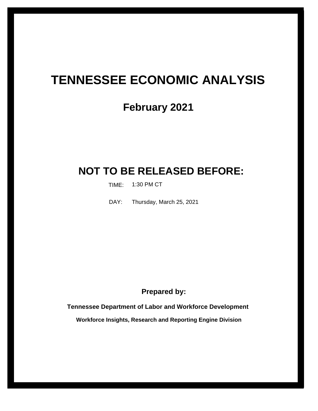# **TENNESSEE ECONOMIC ANALYSIS**

# **February 2021**

# **NOT TO BE RELEASED BEFORE:**

TIME: 1:30 PM CT

Thursday, March 25, 2021 DAY:

**Prepared by:**

**Tennessee Department of Labor and Workforce Development**

**Workforce Insights, Research and Reporting Engine Division**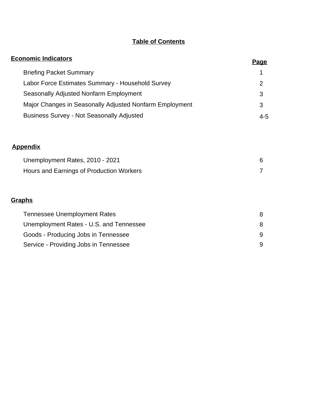## **Table of Contents**

| <b>Economic Indicators</b>                              | <u>Page</u>    |
|---------------------------------------------------------|----------------|
| <b>Briefing Packet Summary</b>                          | 1              |
| Labor Force Estimates Summary - Household Survey        | $\overline{2}$ |
| Seasonally Adjusted Nonfarm Employment                  | 3              |
| Major Changes in Seasonally Adjusted Nonfarm Employment | 3              |
| <b>Business Survey - Not Seasonally Adjusted</b>        | $4 - 5$        |
|                                                         |                |
| <b>Appendix</b>                                         |                |
| Unemployment Rates, 2010 - 2021                         | 6              |
| Hours and Earnings of Production Workers                | 7              |
| Graphs                                                  |                |
| <b>Tennessee Unemployment Rates</b>                     | 8              |
| Unemployment Rates - U.S. and Tennessee                 | 8              |
| Goods - Producing Jobs in Tennessee                     | 9              |
| Service - Providing Jobs in Tennessee                   | 9              |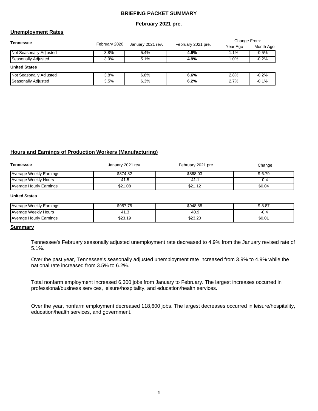#### **BRIEFING PACKET SUMMARY**

#### **February 2021 pre.**

### **Unemployment Rates**

| <b>Tennessee</b>               |               |                   |                    | Change From: |           |  |
|--------------------------------|---------------|-------------------|--------------------|--------------|-----------|--|
|                                | February 2020 | January 2021 rev. | February 2021 pre. | Year Ago     | Month Ago |  |
| <b>Not Seasonally Adjusted</b> | 3.8%          | 5.4%              | 4.9%               | $1.1\%$      | $-0.5%$   |  |
| Seasonally Adjusted            | 3.9%          | 5.1%              | 4.9%               | $1.0\%$      | $-0.2%$   |  |
| <b>United States</b>           |               |                   |                    |              |           |  |
| <b>Not Seasonally Adjusted</b> | 3.8%          | 6.8%              | 6.6%               | 2.8%         | $-0.2%$   |  |
| Seasonally Adjusted            | 3.5%          | 6.3%              | 6.2%               | 2.7%         | $-0.1%$   |  |

### **Hours and Earnings of Production Workers (Manufacturing)**

| Tennessee               | January 2021 rev. | February 2021 pre. | Change   |
|-------------------------|-------------------|--------------------|----------|
| Average Weekly Earnings | \$874.82          | \$868.03           | $$-6.79$ |
| Average Weekly Hours    | 41.5              | 41.1               | -0.4     |
| Average Hourly Earnings | \$21.08           | \$21.12            | \$0.04   |

#### **United States**

| Average Weekly Earnings | \$957.75 | \$948.88 | $$-8.87$ |
|-------------------------|----------|----------|----------|
| Average Weekly Hours    | ن. ا ۲+  | 40.9     | -v.4     |
| Average Hourly Earnings | \$23.19  | \$23.20  | \$0.01   |

#### **Summary**

Tennessee's February seasonally adjusted unemployment rate decreased to 4.9% from the January revised rate of 5.1%.

Over the past year, Tennessee's seasonally adjusted unemployment rate increased from 3.9% to 4.9% while the national rate increased from 3.5% to 6.2%.

Total nonfarm employment increased 6,300 jobs from January to February. The largest increases occurred in professional/business services, leisure/hospitality, and education/health services.

Over the year, nonfarm employment decreased 118,600 jobs. The largest decreases occurred in leisure/hospitality, education/health services, and government.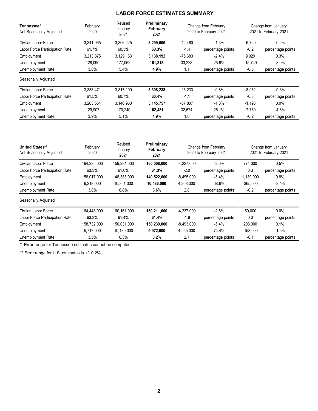## **LABOR FORCE ESTIMATES SUMMARY**

| Tennessee*<br>Not Seasonally Adjusted | February<br>2020   | Revised<br>January<br>2021 | Preliminary<br>February<br>2021 |                          | Change from February<br>2020 to February 2021 | Change from January<br>2021 to February 2021 |                   |  |
|---------------------------------------|--------------------|----------------------------|---------------------------------|--------------------------|-----------------------------------------------|----------------------------------------------|-------------------|--|
| Civilian Labor Force                  | 3,341,965          | 3,306,225                  | 3,299,505                       | $-42,460$                | $-1.3%$                                       | $-6,720$                                     | $-0.2%$           |  |
| Labor Force Participation Rate        | 61.7%              | 60.5%                      | 60.3%                           | $-1.4$                   | percentage points                             | $-0.2$                                       | percentage points |  |
| Employment                            | 3,213,875          | 3, 129, 163                | 3,138,192                       | $-75,683$                | $-2.4%$                                       | 9,029                                        | 0.3%              |  |
| Unemployment                          | 128,090            | 177,062                    | 161,313                         | 33,223                   | 25.9%                                         | $-15,749$                                    | $-8.9%$           |  |
| Unemployment Rate                     | 3.8%               | 5.4%                       | 4.9%                            | 1.1                      | percentage points                             | $-0.5$                                       | percentage points |  |
| Seasonally Adjusted                   |                    |                            |                                 |                          |                                               |                                              |                   |  |
| Civilian Labor Force                  | 3,333,471          | 3,317,190                  | 3,308,238                       | $-25,233$                | $-0.8%$                                       | $-8,952$                                     | $-0.3%$           |  |
| Labor Force Participation Rate        | 61.5%              | 60.7%                      | 60.4%                           | $-1.1$                   | percentage points                             | $-0.3$                                       | percentage points |  |
| Employment                            | 3,203,564          | 3,146,950                  | 3,145,757                       | $-57,807$                | $-1.8%$                                       | $-1,193$                                     | $0.0\%$           |  |
| Unemployment                          | 129,907<br>170,240 |                            |                                 | 32,574                   | 25.1%                                         | $-7,759$                                     | $-4.6%$           |  |
| Unemployment Rate                     | 3.9%               | 5.1%                       | 4.9%                            | 1.0<br>percentage points |                                               | $-0.2$                                       | percentage points |  |

| United States**<br>Not Seasonally Adjusted | February<br>2020 | Revised<br>January<br>2021 | Preliminary<br>February<br>2021 |                          | Change from February<br>2020 to February 2021 |            | Change from January<br>2021 to February 2021 |
|--------------------------------------------|------------------|----------------------------|---------------------------------|--------------------------|-----------------------------------------------|------------|----------------------------------------------|
| Civilian Labor Force                       | 164,235,000      | 159,234,000                | 160,008,000                     | $-4,227,000$             | $-2.6%$                                       | 774,000    | 0.5%                                         |
| Labor Force Participation Rate             | 63.3%            | 61.0%                      | 61.3%                           | $-2.0$                   | percentage points                             | 0.3        | percentage points                            |
| Employment                                 | 158,017,000      | 148,383,000                | 149,522,000                     | $-8,495,000$             | $-5.4%$                                       | 1,139,000  | 0.8%                                         |
| Unemployment                               | 6,218,000        | 10,851,000                 | 10,486,000                      | 4,268,000                | 68.6%                                         | $-365,000$ | $-3.4%$                                      |
| Unemployment Rate                          | 3.8%             | 6.8%                       | 6.6%                            | 2.8                      | percentage points                             | $-0.2$     | percentage points                            |
| Seasonally Adjusted                        |                  |                            |                                 |                          |                                               |            |                                              |
| Civilian Labor Force                       | 164,448,000      | 160, 161, 000              | 160,211,000                     | $-4,237,000$             | $-2.6%$                                       | 50,000     | $0.0\%$                                      |
| Labor Force Participation Rate             | 63.3%            | 61.4%                      | 61.4%                           | $-1.9$                   | percentage points                             |            | percentage points                            |
| Employment                                 | 158,732,000      | 150,031,000                | 150,239,000                     | $-8,493,000$             | $-5.4\%$                                      | 208,000    | 0.1%                                         |
| Unemployment                               | 5,717,000        | 10,130,000                 | 9,972,000                       | 4,255,000                | 74.4%                                         | $-158,000$ | $-1.6%$                                      |
| Unemployment Rate                          | 3.5%             | 6.3%                       | 6.2%                            | 2.7<br>percentage points |                                               | $-0.1$     | percentage points                            |

\* Error range for Tennessee estimates cannot be computed

\*\* Error range for U.S. estimates is +/- 0.2%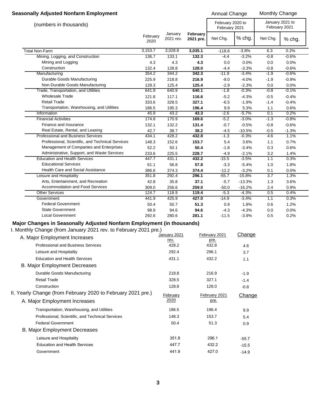#### **Seasonally Adjusted Nonfarm Employment Annual Change Monthly Change Monthly Change**

|                                                                                               |                  |                      |                       | Aliliual Ulialiy <del>e</del>     |                    | monumy Undingo                   |              |  |
|-----------------------------------------------------------------------------------------------|------------------|----------------------|-----------------------|-----------------------------------|--------------------|----------------------------------|--------------|--|
| (numbers in thousands)                                                                        |                  |                      |                       | February 2020 to<br>February 2021 |                    | January 2021 to<br>February 2021 |              |  |
|                                                                                               | February<br>2020 | January<br>2021 rev. | February<br>2021 pre. | Net Chg.                          | % chg.             | Net Chg.                         | % chg.       |  |
| <b>Total Non-Farm</b>                                                                         | 3,153.7          | 3,028.8              | 3,035.1               | $-118.6$                          | $-3.8%$            | 6.3                              | 0.2%         |  |
| Mining, Logging, and Construction                                                             | 136.7            | 133.1                | 132.3                 | $-4.4$                            | $-3.2%$            | $-0.8$                           | $-0.6%$      |  |
| Mining and Logging                                                                            | 4.3              | 4.3                  | 4.3                   | 0.0                               | 0.0%               | 0.0                              | 0.0%         |  |
| Construction                                                                                  | 132.4            | 128.8                | 128.0                 | $-4.4$                            | $-3.3%$            | $-0.8$                           | $-0.6%$      |  |
| Manufacturing                                                                                 | 354.2            | 344.2                | 342.3                 | $-11.9$                           | $-3.4%$            | $-1.9$                           | $-0.6%$      |  |
| Durable Goods Manufacturing                                                                   | 225.9            | 218.8                | 216.9                 | $-9.0$                            | $-4.0%$            | $-1.9$                           | $-0.9%$      |  |
| Non-Durable Goods Manufacturing                                                               | 128.3            | 125.4                | 125.4                 | $-2.9$                            | $-2.3%$            | 0.0                              | 0.0%         |  |
| Trade, Transportation, and Utilities                                                          | 641.9            | 640.9                | 640.1                 | $-1.8$                            | $-0.3%$            | $-0.8$                           | $-0.1%$      |  |
| <b>Wholesale Trade</b>                                                                        | 121.8            | 117.1                | 116.6                 | $-5.2$                            | $-4.3%$            | $-0.5$                           | $-0.4%$      |  |
| <b>Retail Trade</b>                                                                           | 333.6            | 328.5                | 327.1                 | $-6.5$                            | $-1.9%$            | $-1.4$                           | $-0.4%$      |  |
| Transportation, Warehousing, and Utilities                                                    | 186.5            | 195.3                | 196.4                 | 9.9                               | 5.3%               | 1.1                              | 0.6%         |  |
| Information                                                                                   | 45.9             | 43.2                 | 43.3                  | $-2.6$                            | $-5.7%$            | 0.1                              | 0.2%         |  |
| <b>Financial Activities</b>                                                                   | 174.8            | 170.9                | 169.6                 | $-5.2$                            | $-3.0%$            | $-1.3$                           | $-0.8%$      |  |
| Finance and Insurance                                                                         | 132.1            | 132.2                | 131.4                 | $-0.7$                            | $-0.5%$            | $-0.8$                           | $-0.6%$      |  |
| Real Estate, Rental, and Leasing                                                              | 42.7             | 38.7                 | 38.2                  | $-4.5$                            | $-10.5%$           | $-0.5$                           | $-1.3%$      |  |
| <b>Professional and Business Services</b><br>Professional, Scientific, and Technical Services | 434.1            | 428.2                | 432.8                 | $-1.3$                            | $-0.3%$            | 4.6                              | 1.1%         |  |
| Management of Companies and Enterprises                                                       | 148.3            | 152.6                | 153.7                 | 5.4                               | 3.6%               | 1.1                              | 0.7%         |  |
| Administrative, Support, and Waste Services                                                   | 52.2<br>233.6    | 50.1<br>225.5        | 50.4<br>228.7         | $-1.8$<br>$-4.9$                  | $-3.4%$<br>$-2.1%$ | 0.3<br>3.2                       | 0.6%<br>1.4% |  |
| <b>Education and Health Services</b>                                                          | 447.7            | 431.1                | 432.2                 | $-15.5$                           | $-3.5%$            | 1.1                              | 0.3%         |  |
| <b>Educational Services</b>                                                                   | 61.1             | 56.8                 | 57.8                  | $-3.3$                            | $-5.4%$            | 1.0                              | 1.8%         |  |
| <b>Health Care and Social Assistance</b>                                                      | 386.6            | 374.3                | 374.4                 | $-12.2$                           | $-3.2%$            | 0.1                              | 0.0%         |  |
| Leisure and Hospitality                                                                       | 351.8            | 292.4                | 296.1                 | $-55.7$                           | $-15.8%$           | 3.7                              | 1.3%         |  |
| Arts, Entertainment, and Recreation                                                           | 42.8             | 35.8                 | 37.1                  | $-5.7$                            | $-13.3%$           | 1.3                              | 3.6%         |  |
| Accommodation and Food Services                                                               | 309.0            | 256.6                | 259.0                 | $-50.0$                           | $-16.2%$           | 2.4                              | 0.9%         |  |
| <b>Other Services</b>                                                                         | 124.7            | 118.9                | 119.4                 | $-5.3$                            | $-4.3%$            | 0.5                              | 0.4%         |  |
| Government                                                                                    | 441.9            | 425.9                | 427.0                 | $-14.9$                           | $-3.4%$            | 1.1                              | 0.3%         |  |
| <b>Federal Government</b>                                                                     | 50.4             | 50.7                 | 51.3                  | 0.9                               | 1.8%               | 0.6                              | 1.2%         |  |
| <b>State Government</b>                                                                       | 98.9             | 94.6                 | 94.6                  | $-4.3$                            | $-4.3%$            | 0.0                              | 0.0%         |  |
| <b>Local Government</b>                                                                       | 292.6            | 280.6                | 281.1                 | $-11.5$                           | $-3.9%$            | 0.5                              | 0.2%         |  |
| Major Changes in Seasonally Adjusted Nonfarm Employment (in thousands)                        |                  |                      |                       |                                   |                    |                                  |              |  |
| I. Monthly Change (from January 2021 rev. to February 2021 pre.)                              |                  |                      |                       |                                   |                    |                                  |              |  |
|                                                                                               |                  | January 2021         |                       | February 2021                     | Change             |                                  |              |  |
| A. Major Employment Increases                                                                 |                  | rev.                 |                       | pre.                              |                    |                                  |              |  |
| <b>Professional and Business Services</b>                                                     |                  | 428.2                |                       | 432.8                             | 4.6                |                                  |              |  |
| Leisure and Hospitality                                                                       |                  | 292.4                |                       | 296.1                             | 3.7                |                                  |              |  |
| <b>Education and Health Services</b>                                                          |                  | 431.1                |                       | 432.2                             | 1.1                |                                  |              |  |
| B. Major Employment Decreases                                                                 |                  |                      |                       |                                   |                    |                                  |              |  |
|                                                                                               |                  |                      |                       |                                   |                    |                                  |              |  |
| Durable Goods Manufacturing                                                                   |                  | 218.8                |                       | 216.9                             | $-1.9$             |                                  |              |  |
| <b>Retail Trade</b>                                                                           |                  | 328.5                |                       | 327.1                             | $-1.4$             |                                  |              |  |
| Construction                                                                                  |                  | 128.8                |                       | 128.0                             | $-0.8$             |                                  |              |  |
| II. Yearly Change (from February 2020 to February 2021 pre.)                                  |                  | February             |                       | February 2021                     | Change             |                                  |              |  |
| A. Major Employment Increases                                                                 |                  | 2020                 |                       | pre.                              |                    |                                  |              |  |
| Transportation, Warehousing, and Utilities                                                    |                  | 186.5                |                       | 196.4                             | 9.9                |                                  |              |  |
| Professional, Scientific, and Technical Services                                              |                  | 148.3                |                       | 153.7                             | 5.4                |                                  |              |  |
| <b>Federal Government</b>                                                                     |                  | 50.4                 |                       | 51.3                              |                    |                                  |              |  |
|                                                                                               |                  |                      |                       |                                   | 0.9                |                                  |              |  |
| <b>B. Major Employment Decreases</b>                                                          |                  |                      |                       |                                   |                    |                                  |              |  |
| Leisure and Hospitality                                                                       |                  | 351.8                |                       | 296.1                             | $-55.7$            |                                  |              |  |
| <b>Education and Health Services</b>                                                          |                  | 447.7                |                       | 432.2                             | $-15.5$            |                                  |              |  |

Government 441.9 427.0 -14.9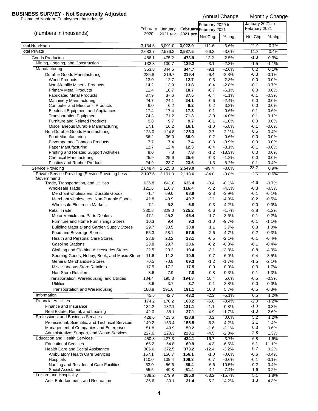## **BUSINESS SURVEY - Not Seasonally Adjusted**<br>Estimated Nonfarm Employment by Industry\*<br>Annual Change Monthly Change

|                                                                                        |               | February January |                     | February 2020 to<br>February February 2021 |                    | January 2021 to<br>February 2021 |                 |
|----------------------------------------------------------------------------------------|---------------|------------------|---------------------|--------------------------------------------|--------------------|----------------------------------|-----------------|
| (numbers in thousands)                                                                 | 2020          |                  | 2021 rev. 2021 pre. | Net Chg.                                   | % chg.             | Net Chg.                         | % chg.          |
| Total Non-Farm                                                                         | 3,134.5       | 3,001.0          | 3,022.9             | $-111.6$                                   | $-3.6%$            | 21.9                             | 0.7%            |
| <b>Total Private</b>                                                                   | 2,683.7       | 2,576.2          | 2,587.5             | $-96.2$                                    | $-3.6%$            | 11.3                             | 0.4%            |
| Goods Producing                                                                        | 486.1         | 475.2            | 473.9               | $-12.2$                                    | $-2.5%$            | $-1.3$                           | $-0.3%$         |
| Mining, Logging, and Construction                                                      | 132.3         | 130.7            | 129.2               | $-3.1$                                     | $-2.3%$            | $-1.5$                           | $-1.1%$         |
| Manufacturing                                                                          | 353.8         | 344.5            | 344.7               | $-9.1$                                     | $-2.6%$            | 0.2                              | 0.1%            |
| Durable Goods Manufacturing                                                            | 225.8         | 219.7            | 219.4               | $-6.4$                                     | $-2.8%$            | $-0.3$                           | $-0.1%$         |
| <b>Wood Products</b><br><b>Non-Metallic Mineral Products</b>                           | 13.0<br>14.2  | 12.7<br>13.9     | 12.7<br>13.8        | $-0.3$<br>$-0.4$                           | $-2.3%$<br>$-2.8%$ | 0.0<br>$-0.1$                    | 0.0%<br>$-0.7%$ |
| <b>Primary Metal Products</b>                                                          | 11.4          | 10.7             | 10.7                | $-0.7$                                     | $-6.1%$            | 0.0                              | 0.0%            |
| <b>Fabricated Metal Products</b>                                                       | 37.9          | 37.6             | 37.5                | $-0.4$                                     | $-1.1%$            | $-0.1$                           | $-0.3%$         |
| <b>Machinery Manufacturing</b>                                                         | 24.7          | 24.1             | 24.1                | $-0.6$                                     | $-2.4%$            | 0.0                              | 0.0%            |
| <b>Computer and Electronic Products</b>                                                | 6.0           | 6.2              | 6.2                 | 0.2                                        | 3.3%               | 0.0                              | 0.0%            |
| <b>Electrical Equipment and Appliances</b>                                             | 17.4          | 17.4             | 17.3                | $-0.1$                                     | $-0.6%$            | $-0.1$                           | $-0.6%$         |
| <b>Transportation Equipment</b>                                                        | 74.3          | 71.2             | 71.3                | $-3.0$                                     | $-4.0%$            | 0.1                              | 0.1%            |
| <b>Furniture and Related Products</b>                                                  | 9.8           | 9.7              | 9.7                 | $-0.1$                                     | $-1.0%$            | 0.0                              | 0.0%            |
| Miscellaneous Durable Manufacturing<br>Non-Durable Goods Manufacturing                 | 17.1          | 16.2             | 16.1                | $-1.0$                                     | $-5.8%$            | $-0.1$<br>0.5                    | $-0.6%$         |
| <b>Food Manufacturing</b>                                                              | 128.0<br>36.2 | 124.8<br>36.0    | 125.3<br>36.0       | $-2.7$<br>$-0.2$                           | $-2.1%$<br>$-0.6%$ | 0.0                              | 0.4%<br>0.0%    |
| Beverage and Tobacco Products                                                          | 7.7           | 7.4              | 7.4                 | $-0.3$                                     | $-3.9%$            | 0.0                              | 0.0%            |
| Paper Manufacturing                                                                    | 12.7          | 12.4             | 12.3                | $-0.4$                                     | $-3.1%$            | $-0.1$                           | $-0.8%$         |
| Printing and Related Support Activities                                                | 9.0           | 7.8              | 7.8                 | $-1.2$                                     | $-13.3%$           | 0.0                              | 0.0%            |
| <b>Chemical Manufacturing</b>                                                          | 25.9          | 25.6             | 25.6                | $-0.3$                                     | $-1.2%$            | 0.0                              | 0.0%            |
| Plastics and Rubber Products                                                           | 24.9          | 23.7             | 23.6                | $-1.3$                                     | $-5.2%$            | $-0.1$                           | $-0.4%$         |
| Service Providing                                                                      | 2.648.4       | 2,525.8          | 2,549.0             | $-99.4$                                    | $-3.8%$            | 23.2                             | 0.9%            |
| Private Service Providing (Service Providing Less<br>Government)                       | 2,197.6       | 2,101.0          | 2,113.6             | $-84.0$                                    | $-3.8%$            | 12.6                             | 0.6%            |
| Trade, Transportation, and Utilities                                                   | 636.8         | 641.0            | 636.4               | -0.4                                       | $-0.1%$            | $-4.6$                           | $-0.7%$         |
| <b>Wholesale Trade</b>                                                                 | 121.6         | 116.7            | 116.4               | $-5.2$                                     | $-4.3%$            | $-0.3$                           | $-0.3%$         |
| Merchant wholesalers, Durable Goods                                                    | 71.7          | 69.0             | 68.9                | $-2.8$                                     | $-3.9%$            | $-0.1$                           | $-0.1%$         |
| Merchant wholesalers, Non-Durable Goods                                                | 42.8          | 40.9             | 40.7                | $-2.1$                                     | $-4.9%$            | $-0.2$                           | $-0.5%$         |
| <b>Wholesale Electronic Markets</b>                                                    | 7.1           | 6.8              | 6.8                 | $-0.3$                                     | $-4.2%$            | 0.0                              | 0.0%            |
| <b>Retail Trade</b><br>Motor Vehicle and Parts Dealers                                 | 330.8<br>47.1 | 329.0<br>45.3    | 325.2<br>45.4       | $-5.6$<br>$-1.7$                           | $-1.7%$<br>$-3.6%$ | $-3.8$<br>0.1                    | $-1.2%$<br>0.2% |
| Furniture and Home Furnishings Stores                                                  | 10.3          | 9.4              | 9.3                 | $-1.0$                                     | $-9.7%$            | $-0.1$                           | $-1.1%$         |
| Building Material and Garden Supply Stores                                             | 29.7          | 30.5             | 30.8                | 1.1                                        | 3.7%               | 0.3                              | 1.0%            |
| Food and Beverage Stores                                                               | 55.3          | 58.1             | 57.9                | 2.6                                        | 4.7%               | $-0.2$                           | $-0.3%$         |
| <b>Health and Personal Care Stores</b>                                                 | 23.6          | 23.2             | 23.1                | $-0.5$                                     | $-2.1%$            | $-0.1$                           | $-0.4%$         |
| <b>Gasoline Stations</b>                                                               | 23.8          | 23.7             | 23.6                | $-0.2$                                     | $-0.8%$            | $-0.1$                           | $-0.4%$         |
| Clothing and Clothing Accessories Stores                                               | 22.5          | 20.2             | 19.4                | $-3.1$                                     | $-13.8%$           | $-0.8$                           | $-4.0%$         |
| Sporting Goods, Hobby, Book, and Music Stores                                          | 11.6          | 11.3             | 10.9                | $-0.7$                                     | $-6.0\%$           | $-0.4$                           | $-3.5%$         |
| <b>General Merchandise Stores</b>                                                      | 70.5          | 70.8             | 69.3                | $-1.2$                                     | $-1.7%$            | $-1.5$                           | $-2.1%$         |
| <b>Miscellaneous Store Retailers</b>                                                   | 17.5          | 17.2             | 17.5                | 0.0                                        | 0.0%               | 0.3                              | 1.7%            |
| <b>Non-Store Retailers</b>                                                             | 8.6           | 7.9              | 7.8                 | $-0.8$                                     | $-9.3%$            | $-0.1$                           | $-1.3%$         |
| Transportation, Warehousing, and Utilities                                             | 184.4         | 195.3            | 194.8               | 10.4                                       | 5.6%               | $-0.5$                           | $-0.3%$         |
| <b>Utilities</b>                                                                       | 3.6           | 3.7              | 3.7                 | 0.1                                        | 2.8%               | 0.0                              | 0.0%            |
| Transportation and Warehousing                                                         | 180.8         | 191.6            | 191.1               | 10.3                                       | 5.7%               | $-0.5$                           | $-0.3%$         |
| Information                                                                            | 45.5          | 42.7             | 43.2                | $-2.3$                                     | $-5.1%$            | 0.5                              | 1.2%            |
| <b>Financial Activities</b>                                                            | 174.2         | 170.2            | 168.2               | $-6.0$                                     | $-3.4%$            | $-2.0$                           | $-1.2%$         |
| Finance and Insurance                                                                  | 132.2         | 132.1            | 131.1               | $-1.1$                                     | $-0.8%$            | $-1.0$                           | $-0.8%$         |
| Real Estate, Rental, and Leasing                                                       | 42.0          | 38.1             | 37.1                | $-4.9$                                     | $-11.7%$           | $-1.0$                           | $-2.6%$         |
| Professional and Business Services                                                     | 428.6         | 423.6            | 428.8               | 0.2                                        | 0.0%               | 5.2                              | 1.2%            |
| Professional, Scientific, and Technical Services                                       | 149.2         | 153.4            | 155.5               | 6.3                                        | 4.2%               | 2.1                              | 1.4%            |
| Management of Companies and Enterprises<br>Administrative, Support, and Waste Services | 51.8<br>227.6 | 49.9<br>220.3    | 50.2<br>223.1       | $-1.6$<br>$-4.5$                           | $-3.1%$<br>$-2.0%$ | 0.3<br>2.8                       | 0.6%<br>1.3%    |
| <b>Education and Health Services</b>                                                   | 450.8         | 427.3            | 434.1               | $-16.7$                                    | $-3.7%$            | 6.8                              | 1.6%            |
| <b>Educational Services</b>                                                            | 65.2          | 54.8             | 60.9                | $-4.3$                                     | $-6.6%$            | 6.1                              | 11.1%           |
| <b>Health Care and Social Assistance</b>                                               | 385.6         | 372.5            | 373.2               | $-12.4$                                    | $-3.2%$            | 0.7                              | 0.2%            |
| <b>Ambulatory Health Care Services</b>                                                 | 157.1         | 156.7            | 156.1               | $-1.0$                                     | $-0.6%$            | $-0.6$                           | $-0.4%$         |
| Hospitals                                                                              | 110.0         | 109.4            | 109.3               | $-0.7$                                     | $-0.6%$            | -0.1                             | $-0.1%$         |
| Nursing and Residential Care Facilities                                                | 63.0          | 56.6             | 56.4                | $-6.6$                                     | $-10.5%$           | $-0.2$                           | $-0.4%$         |
| Social Assistance                                                                      | 55.5          | 49.8             | 51.4                | $-4.1$                                     | $-7.4%$            | 1.6                              | 3.2%            |
| Leisure and Hospitality                                                                | 338.2         | 279.9            | 285.0               | $-53.2$                                    | $-15.7%$           | 5.1                              | 1.8%            |
| Arts, Entertainment, and Recreation                                                    | 36.6          | 30.1             | 31.4                | $-5.2$                                     | $-14.2%$           | 1.3                              | 4.3%            |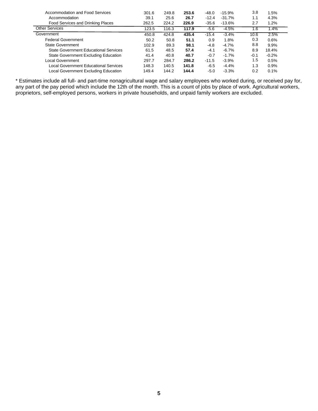| Accommodation and Food Services              | 301.6 | 249.8 | 253.6 | $-48.0$ | $-15.9%$ | 3.8    | 1.5%    |
|----------------------------------------------|-------|-------|-------|---------|----------|--------|---------|
| Accommodation                                | 39.1  | 25.6  | 26.7  | $-12.4$ | $-31.7%$ | 1.1    | 4.3%    |
| Food Services and Drinking Places            | 262.5 | 224.2 | 226.9 | $-35.6$ | $-13.6%$ | 2.7    | 1.2%    |
| <b>Other Services</b>                        | 123.5 | 116.3 | 117.9 | $-5.6$  | $-4.5%$  | 1.6    | 1.4%    |
| Government                                   | 450.8 | 424.8 | 435.4 | $-15.4$ | $-3.4%$  | 10.6   | 2.5%    |
| <b>Federal Government</b>                    | 50.2  | 50.8  | 51.1  | 0.9     | 1.8%     | 0.3    | 0.6%    |
| <b>State Government</b>                      | 102.9 | 89.3  | 98.1  | -4.8    | $-4.7%$  | 8.8    | 9.9%    |
| <b>State Government Educational Services</b> | 61.5  | 48.5  | 57.4  | $-4.1$  | $-6.7%$  | 8.9    | 18.4%   |
| State Government Excluding Education         | 41.4  | 40.8  | 40.7  | $-0.7$  | $-1.7%$  | $-0.1$ | $-0.2%$ |
| Local Government                             | 297.7 | 284.7 | 286.2 | $-11.5$ | $-3.9%$  | 1.5    | 0.5%    |
| Local Government Educational Services        | 148.3 | 140.5 | 141.8 | $-6.5$  | $-4.4%$  | 1.3    | 0.9%    |
| Local Government Excluding Education         | 149.4 | 144.2 | 144.4 | $-5.0$  | $-3.3%$  | 0.2    | 0.1%    |

\* Estimates include all full- and part-time nonagricultural wage and salary employees who worked during, or received pay for, any part of the pay period which include the 12th of the month. This is a count of jobs by place of work. Agricultural workers, proprietors, self-employed persons, workers in private households, and unpaid family workers are excluded.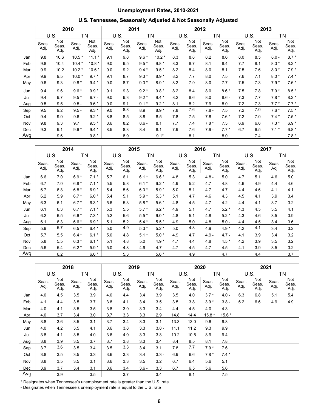## **Unemployment Rates, 2010-2021**

## **U.S. Tennessee, Seasonally Adjusted & Not Seasonally Adjusted**

|     |               |                      | 2010          |                       | 2011          |                      |               |                       |               | 2012                 |               |                             |               | 2013                 |               |                      |  |
|-----|---------------|----------------------|---------------|-----------------------|---------------|----------------------|---------------|-----------------------|---------------|----------------------|---------------|-----------------------------|---------------|----------------------|---------------|----------------------|--|
|     | U.S.          |                      | ΤN            |                       |               | U.S.                 | ΤN            |                       |               | U.S.                 |               | ΤN                          |               | U.S.                 | ΤN            |                      |  |
|     | Seas.<br>Adj. | Not<br>Seas.<br>Adj. | Seas.<br>Adj. | Not.<br>Seas.<br>Adj. | Seas.<br>Adj. | Not<br>Seas.<br>Adj. | Seas.<br>Adj. | Not.<br>Seas.<br>Adj. | Seas.<br>Adj. | Not<br>Seas.<br>Adj. | Seas.<br>Adj. | <b>Not</b><br>Seas.<br>Adj. | Seas.<br>Adj. | Not<br>Seas.<br>Adj. | Seas.<br>Adj. | Not<br>Seas.<br>Adj. |  |
| Jan | 9.8           | 10.6                 | $10.5*$       | $11.1*$               | 9.1           | 9.8                  | $9.6*$        | $10.2*$               | 8.3           | 8.8                  | 8.2           | 8.6                         | 8.0           | 8.5                  | $8.0 -$       | $8.7*$               |  |
| Feb | 9.8           | 10.4                 | $10.4*$       | $10.8*$               | 9.0           | 9.5                  | $9.5*$        | $9.8*$                | 8.3           | 8.7                  | 8.1           | 8.4                         | 7.7           | 8.1                  | $8.0*$        | $8.2*$               |  |
| Mar | 9.9           | 10.2                 | $10.2*$       | $10.6*$               | 9.0           | 9.2                  | $9.4*$        | $9.5*$                | 8.2           | 8.4                  | 8.0           | 8.1                         | 7.5           | 7.6                  | $8.0*$        | $7.9*$               |  |
| Apr | 9.9           | 9.5                  | $10.0*$       | $9.7*$                | 9.1           | 8.7                  | $9.3*$        | $8.9*$                | 8.2           | 7.7                  | 8.0           | 7.5                         | 7.6           | 7.1                  | $8.0*$        | $7.4*$               |  |
| May | 9.6           | 9.3                  | $9.8*$        | $9.4*$                | 9.0           | 8.7                  | $9.3*$        | $8.9*$                | 8.2           | 7.9                  | 8.0           | 7.7                         | 7.5           | 7.3                  | $7.9*$        | $7.6*$               |  |
| Jun | 9.4           | 9.6                  | $9.6*$        | $9.9*$                | 9.1           | 9.3                  | $9.2*$        | $9.8*$                | 8.2           | 8.4                  | 8.0           | $8.6*$                      | 7.5           | 7.8                  | $7.9*$        | $8.5*$               |  |
| Jul | 9.4           | 9.7                  | $9.5*$        | $9.7 -$               | 9.0           | 9.3                  | $9.2*$        | $9.4*$                | 8.2           | 8.6                  | 8.0           | $8.6 -$                     | 7.3           | 7.7                  | $7.8*$        | $8.2*$               |  |
| Aug | 9.5           | 9.5                  | $9.5 -$       | $9.6*$                | 9.0           | 9.1                  | $9.1*$        | $9.2*$                | 8.1           | 8.2                  | 7.9           | 8.0                         | 7.2           | 7.3                  | $7.7*$        | $7.7*$               |  |
| Sep | 9.5           | 9.2                  | $9.5 -$       | $9.3*$                | 9.0           | 8.8                  | 8.9           | $8.9*$                | 7.8           | 7.6                  | $7.8 -$       | 7.5                         | 7.2           | 7.0                  | $7.6*$        | $7.5*$               |  |
| Oct | 9.4           | 9.0                  | 9.6           | $9.2*$                | 8.8           | 8.5                  | $8.8 -$       | $8.5 -$               | 7.8           | 7.5                  | $7.8 -$       | $7.6*$                      | 7.2           | 7.0                  | $7.4*$        | $7.5*$               |  |
| Nov | 9.8           | 9.3                  | 9.7           | $9.5*$                | 8.6           | 8.2                  | $8.6 -$       | 8.1                   | 7.7           | 7.4                  | $7.8*$        | 7.3                         | 6.9           | 6.6                  | $7.3*$        | $6.9*$               |  |
| Dec | 9.3           | 9.1                  | $9.6*$        | $9.4*$                | 8.5           | 8.3                  | 8.4           | 8.1                   | 7.9           | 7.6                  | $7.9 -$       | $7.7*$                      | 6.7           | 6.5                  | $7.1*$        | $6.8*$               |  |
| Avg |               | 9.6                  |               | $9.8*$                |               | 8.9                  |               | $9.1*$                |               | 8.1                  |               | 8.0                         |               | 7.4                  |               | $7.8*$               |  |

|     |               |                      | 2014          |                      |               |                      | 2015          |                      | 2016          |                      |               |                      | 2017          |                             |               |                             |
|-----|---------------|----------------------|---------------|----------------------|---------------|----------------------|---------------|----------------------|---------------|----------------------|---------------|----------------------|---------------|-----------------------------|---------------|-----------------------------|
|     | U.S.          |                      |               | ΤN                   |               | U.S.                 |               | TN                   |               | U.S.                 |               | TN                   |               | U.S.                        |               | ΤN                          |
|     | Seas.<br>Adj. | Not<br>Seas.<br>Adj. | Seas.<br>Adj. | Not<br>Seas.<br>Adj. | Seas.<br>Adj. | Not<br>Seas.<br>Adj. | Seas.<br>Adj. | Not<br>Seas.<br>Adj. | Seas.<br>Adj. | Not<br>Seas.<br>Adj. | Seas.<br>Adj. | Not<br>Seas.<br>Adj. | Seas.<br>Adj. | <b>Not</b><br>Seas.<br>Adj. | Seas.<br>Adj. | <b>Not</b><br>Seas.<br>Adj. |
| Jan | 6.6           | 7.0                  | $6.9*$        | $7.1*$               | 5.7           | 6.1                  | $6.1*$        | $6.6*$               | 4.8           | 5.3                  | $4.8 -$       | 5.0                  | 4.7           | 5.1                         | 4.6           | 5.0                         |
| Feb | 6.7           | 7.0                  | $6.8*$        | $7.1*$               | 5.5           | 5.8                  | $6.1*$        | $6.2*$               | 4.9           | 5.2                  | 4.7           | 4.8                  | 4.6           | 4.9                         | 4.4           | 4.6                         |
| Mar | 6.7           | 6.8                  | $6.8*$        | $6.9*$               | 5.4           | 5.6                  | $6.0*$        | $5.9*$               | 5.0           | 5.1                  | 4.7           | 4.7                  | 4.4           | 4.6                         | 4.1           | 4.1                         |
| Apr | 6.2           | 5.9                  | $6.7*$        | $6.0*$               | 5.4           | 5.1                  | $5.9*$        | $5.3*$               | 5.1           | 4.7                  | 4.6           | 4.3                  | 4.5           | 4.1                         | 3.9           | 3.4                         |
| May | 6.3           | 6.1                  | $6.7*$        | $6.3*$               | 5.6           | 5.3                  | $5.8*$        | $5.6*$               | 4.8           | 4.5                  | 4.7           | 4.2                  | 4.4           | 4.1                         | 3.7           | 3.2                         |
| Jun | 6.1           | 6.3                  | $6.7*$        | $7.1*$               | 5.3           | 5.5                  | $5.7*$        | $6.2*$               | 4.9           | 5.1                  | 4.7           | $5.2*$               | 4.3           | 4.5                         | 3.5           | 4.1                         |
| Jul | 6.2           | 6.5                  | $6.6*$        | $7.3*$               | 5.2           | 5.6                  | $5.5*$        | $6.0*$               | 4.8           | 5.1                  | $4.8 -$       | $5.2*$               | 4.3           | 4.6                         | 3.5           | 3.9                         |
| Aug | 6.1           | 6.3                  | $6.6*$        | $6.9*$               | 5.1           | 5.2                  | $5.4*$        | $5.5*$               | 4.9           | 5.0                  | 4.8           | $5.0 -$              | 4.4           | 4.5                         | 3.4           | 3.6                         |
| Sep | 5.9           | 5.7                  | $6.5*$        | $6.4*$               | 5.0           | 4.9                  | $5.3*$        | $5.2*$               | 5.0           | 4.8                  | 4.9           | $4.9*$               | 4.2           | 4.1                         | 3.4           | 3.2                         |
| Oct | 5.7           | 5.5                  | $6.4*$        | $6.1*$               | 5.0           | 4.8                  | $5.1*$        | $5.0*$               | 4.9           | 4.7                  | $4.9 -$       | $4.7 -$              | 4.1           | 3.9                         | 3.4           | 3.2                         |
| Nov | 5.8           | 5.5                  | $6.3*$        | 6.1<br>$^\star$      | 5.1           | 4.8                  | 5.0           | $4.9*$               | 4.7           | 4.4                  | 4.8           | $4.5*$               | 4.2           | 3.9                         | 3.5           | 3.2                         |
| Dec | 5.6           | 5.4                  | $6.2*$        | $5.9*$               | 5.0           | 4.8                  | 4.9           | 4.7                  | 4.7           | 4.5                  | $4.7 -$       | $4.5 -$              | 4.1           | 3.9                         | 3.5           | 3.2                         |
| Avg |               | 6.2                  |               | $6.6*$               |               | 5.3                  |               | $5.6*$               |               | 4.9                  |               | 4.7                  |               | 4.4                         |               | 3.7                         |

|     |               |                      | 2018          |                      |               |                      | 2019          |                      |               |                      | 2020          |                      | 2021          |                      |               |                      |
|-----|---------------|----------------------|---------------|----------------------|---------------|----------------------|---------------|----------------------|---------------|----------------------|---------------|----------------------|---------------|----------------------|---------------|----------------------|
|     |               | U.S.                 |               | ΤN                   |               | U.S.                 |               | TN                   |               | U.S.                 | ΤN            |                      |               | U.S.                 |               | ΤN                   |
|     | Seas.<br>Adj. | Not<br>Seas.<br>Adj. | Seas.<br>Adj. | Not<br>Seas.<br>Adj. | Seas.<br>Adj. | Not<br>Seas.<br>Adj. | Seas.<br>Adj. | Not<br>Seas.<br>Adj. | Seas.<br>Adj. | Not<br>Seas.<br>Adj. | Seas.<br>Adj. | Not<br>Seas.<br>Adj. | Seas.<br>Adj. | Not<br>Seas.<br>Adj. | Seas.<br>Adj. | Not<br>Seas.<br>Adj. |
| Jan | 4.0           | 4.5                  | 3.5           | 3.9                  | 4.0           | 4.4                  | 3.4           | 3.9                  | 3.5           | 4.0                  | $3.7*$        | $4.0 -$              | 6.3           | 6.8                  | 5.1           | 5.4                  |
| Feb | 4.1           | 4.4                  | 3.5           | 3.7                  | 3.8           | 4.1                  | 3.4           | 3.5                  | 3.5           | 3.8                  | $3.9*$        | $3.8 -$              | 6.2           | 6.6                  | 4.9           | 4.9                  |
| Mar | 4.0           | 4.1                  | 3.5           | 3.5                  | 3.8           | 3.9                  | 3.3           | 3.4                  | 4.4           | 4.5                  | 4.0           | 4.3                  |               |                      |               |                      |
| Apr | 4.0           | 3.7                  | 3.4           | 3.0                  | 3.7           | 3.3                  | 3.3           | 2.9                  | 14.8          | 14.4                 | $15.8*$       | $15.6*$              |               |                      |               |                      |
| May | 3.8           | 3.6                  | 3.5           | 3.1                  | 3.7           | 3.4                  | 3.3           | 3.1                  | 13.3          | 13.0                 | 9.6           | 9.8                  |               |                      |               |                      |
| Jun | 4.0           | 4.2                  | 3.5           | 4.1                  | 3.6           | 3.8                  | 3.3           | $3.8 -$              | 11.1          | 11.2                 | 9.3           | 9.9                  |               |                      |               |                      |
| Jul | 3.8           | 4.1                  | 3.5           | 4.0                  | 3.6           | 4.0                  | 3.3           | 3.8                  | 10.2          | 10.5                 | 8.9           | 9.4                  |               |                      |               |                      |
| Aug | 3.8           | 3.9                  | 3.5           | 3.7                  | 3.7           | 3.8                  | 3.3           | 3.4                  | 8.4           | 8.5                  | 8.1           | 7.8                  |               |                      |               |                      |
| Sep | 3.7           | 3.6                  | 3.5           | 3.4                  | 3.5           | 3.3                  | 3.4           | 3.1                  | 7.8           | 7.7                  | $7.9*$        | 7.6                  |               |                      |               |                      |
| Oct | 3.8           | 3.5                  | 3.5           | 3.3                  | 3.6           | 3.3                  | 3.4           | $3.3 -$              | 6.9           | 6.6                  | $7.8*$        | $7.4*$               |               |                      |               |                      |
| Nov | 3.8           | 3.5                  | 3.5           | 3.1                  | 3.6           | 3.3                  | 3.5           | 3.2                  | 6.7           | 6.4                  | 5.6           | 5.1                  |               |                      |               |                      |
| Dec | 3.9           | 3.7                  | 3.4           | 3.1                  | 3.6           | 3.4                  | $3.6 -$       | 3.3                  | 6.7           | 6.5                  | 5.6           | 5.6                  |               |                      |               |                      |
| Avg |               | 3.9                  |               | 3.5                  |               | 3.7                  |               | 3.4                  |               | 8.1                  |               | 7.5                  |               |                      |               |                      |

\* Designates when Tennessee's unemployment rate is greater than the U.S. rate

- Designates when Tennessee's unemployment rate is equal to the U.S. rate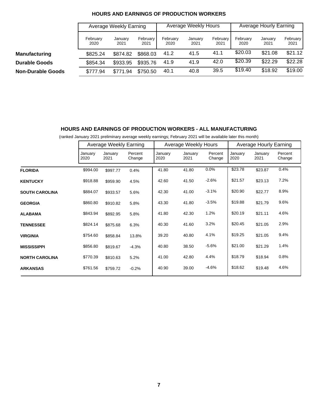|                          |                  | Average Weekly Earning |                  | Average Weekly Hours |                 |                  | Average Hourly Earning |                 |                  |
|--------------------------|------------------|------------------------|------------------|----------------------|-----------------|------------------|------------------------|-----------------|------------------|
|                          | February<br>2020 | January<br>2021        | February<br>2021 | February<br>2020     | January<br>2021 | February<br>2021 | February<br>2020       | January<br>2021 | February<br>2021 |
| <b>Manufacturing</b>     | \$825.24         | \$874.82               | \$868.03         | 41.2                 | 41.5            | 41.1             | \$20.03                | \$21.08         | \$21.12          |
| <b>Durable Goods</b>     | \$854.34         | \$933.95               | \$935.76         | 41.9                 | 41.9            | 42.0             | \$20.39                | \$22.29         | \$22.28          |
| <b>Non-Durable Goods</b> | \$777.94         | \$771.94               | \$750.50         | 40.1                 | 40.8            | 39.5             | \$19.40                | \$18.92         | \$19.00          |

#### **HOURS AND EARNINGS OF PRODUCTION WORKERS**

### **HOURS AND EARNINGS OF PRODUCTION WORKERS - ALL MANUFACTURING**

(ranked January 2021 preliminary average weekly earnings; February 2021 will be available later this month)

|                       | Average Weekly Earning |                 |                   | Average Weekly Hours |                 |                   | <b>Average Hourly Earning</b> |                 |                   |
|-----------------------|------------------------|-----------------|-------------------|----------------------|-----------------|-------------------|-------------------------------|-----------------|-------------------|
|                       | January<br>2020        | January<br>2021 | Percent<br>Change | January<br>2020      | January<br>2021 | Percent<br>Change | January<br>2020               | January<br>2021 | Percent<br>Change |
| <b>FLORIDA</b>        | \$994.00               | \$997.77        | 0.4%              | 41.80                | 41.80           | 0.0%              | \$23.78                       | \$23.87         | 0.4%              |
| <b>KENTUCKY</b>       | \$918.88               | \$959.90        | 4.5%              | 42.60                | 41.50           | $-2.6%$           | \$21.57                       | \$23.13         | 7.2%              |
| <b>SOUTH CAROLINA</b> | \$884.07               | \$933.57        | 5.6%              | 42.30                | 41.00           | $-3.1%$           | \$20.90                       | \$22.77         | 8.9%              |
| <b>GEORGIA</b>        | \$860.80               | \$910.82        | 5.8%              | 43.30                | 41.80           | $-3.5%$           | \$19.88                       | \$21.79         | 9.6%              |
| <b>ALABAMA</b>        | \$843.94               | \$892.95        | 5.8%              | 41.80                | 42.30           | 1.2%              | \$20.19                       | \$21.11         | 4.6%              |
| <b>TENNESSEE</b>      | \$824.14               | \$875.68        | 6.3%              | 40.30                | 41.60           | 3.2%              | \$20.45                       | \$21.05         | 2.9%              |
| <b>VIRGINIA</b>       | \$754.60               | \$858.84        | 13.8%             | 39.20                | 40.80           | 4.1%              | \$19.25                       | \$21.05         | 9.4%              |
| <b>MISSISSIPPI</b>    | \$856.80               | \$819.67        | $-4.3%$           | 40.80                | 38.50           | $-5.6%$           | \$21.00                       | \$21.29         | 1.4%              |
| <b>NORTH CAROLINA</b> | \$770.39               | \$810.63        | 5.2%              | 41.00                | 42.80           | 4.4%              | \$18.79                       | \$18.94         | 0.8%              |
| <b>ARKANSAS</b>       | \$761.56               | \$759.72        | $-0.2%$           | 40.90                | 39.00           | $-4.6%$           | \$18.62                       | \$19.48         | 4.6%              |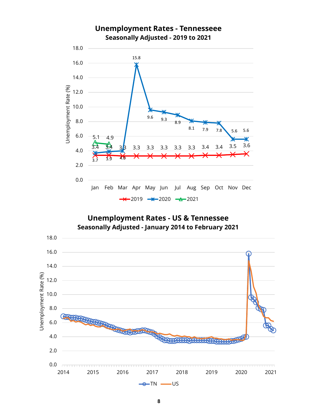

## **Unemployment Rates - US & Tennessee Seasonally Adjusted - January 2014 to February 2021**